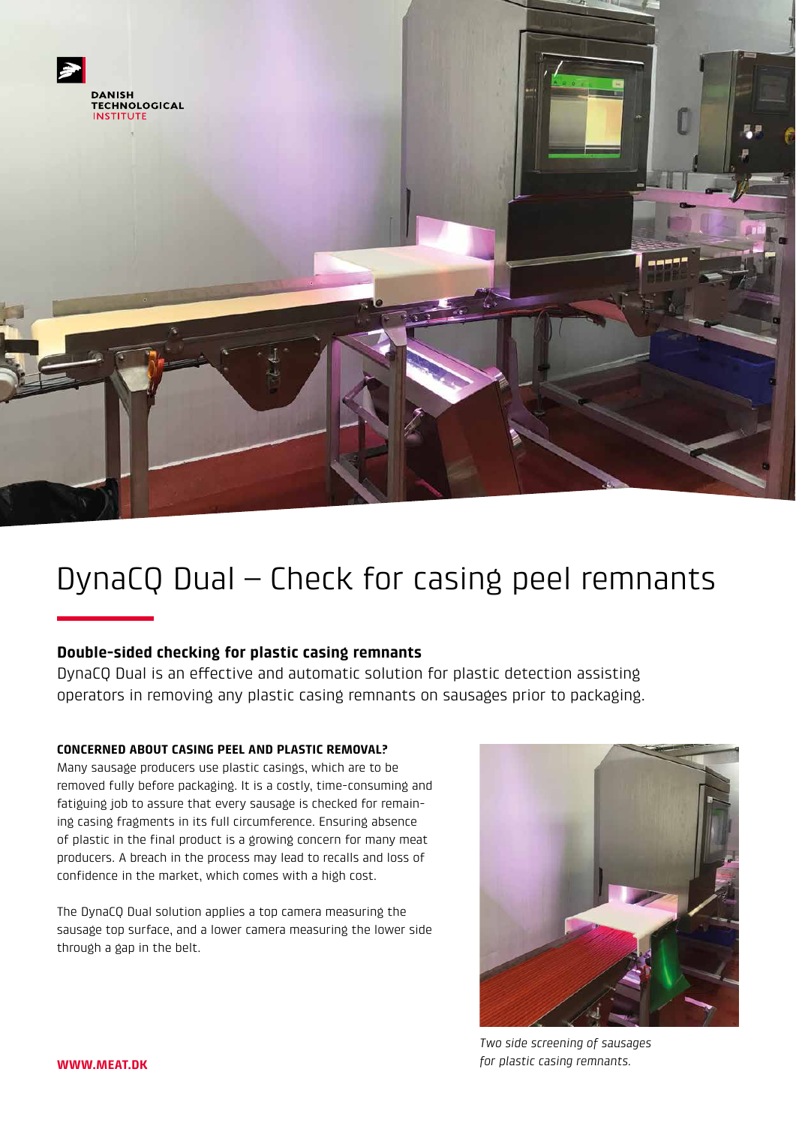

# DynaCQ Dual – Check for casing peel remnants

## **Double-sided checking for plastic casing remnants**

DynaCQ Dual is an effective and automatic solution for plastic detection assisting operators in removing any plastic casing remnants on sausages prior to packaging.

### **CONCERNED ABOUT CASING PEEL AND PLASTIC REMOVAL?**

Many sausage producers use plastic casings, which are to be removed fully before packaging. It is a costly, time-consuming and fatiguing job to assure that every sausage is checked for remaining casing fragments in its full circumference. Ensuring absence of plastic in the final product is a growing concern for many meat producers. A breach in the process may lead to recalls and loss of confidence in the market, which comes with a high cost.

The DynaCQ Dual solution applies a top camera measuring the sausage top surface, and a lower camera measuring the lower side through a gap in the belt.



*Two side screening of sausages for plastic casing remnants.*